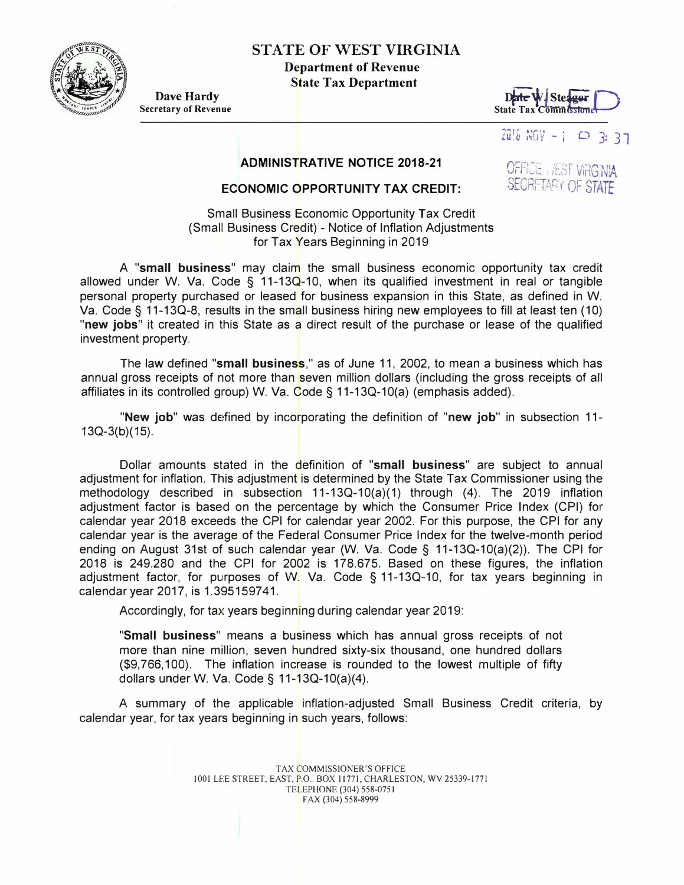

## **STATE OF WEST VIRGINIA**

**Department of Revenue State Tax Department** 

**Dave Hardy Secretary of Revenue** 



zui& ��nv - ; o 3: 37

OFFICE , JEST VIRGINA SECRETARY OF STATE

## **ADMINISTRATIVE NOTICE 2018-21**

## **ECONOMIC OPPORTUNITY TAX CREDIT:**

Small Business Economic Opportunity Tax Credit (Small Business Credit) - Notice of Inflation Adjustments for Tax Years Beginning in 2019

A **"small business"** may claim the small business economic opportunity tax credit allowed under W. Va. Code § 11-13Q-10, when its qualified investment in real or tangible personal property purchased or leased for business expansion in this State, as defined in W. Va. Code § 11-130-8, results in the small business hiring new employees to fill at least ten ( 10) **"new jobs"** it created in this State as a direct result of the purchase or lease of the qualified investment property.

The law defined **"small business,"** as of June 11, 2002, to mean a business which has annual gross receipts of not more than seven million dollars (including the gross receipts of all affiliates in its controlled group) W. Va. Code§ 11-13Q-10(a) (emphasis added).

**"New job"** was defined by incorporating the definition of **"new job"** in subsection 11- 13Q-3(b)(15).

Dollar amounts stated in the definition of **"small business"** are subject to annual adjustment for inflation. This adjustment is determined by the State Tax Commissioner using the methodology described in subsection 11-13Q-10(a)(1) through (4). The 2019 inflation adjustment factor is based on the percentage by which the Consumer Price Index (CPI) for calendar year 2018 exceeds the CPI for calendar year 2002. For this purpose, the CPI for any calendar year is the average of the Federal Consumer Price Index for the twelve-month period ending on August 31st of such calendar year (W. Va. Code § 11-13Q-10(a)(2)). The CPI for 2018 is 249.280 and the CPI for 2002 is 178.675. Based on these figures, the inflation adjustment factor, for purposes of W. Va. Code § 11-13Q-10, for tax years beginning in calendar year 2017, is 1.395159741.

Accordingly, for tax years beginning during calendar year 2019:

**"Small business"** means a business which has annual gross receipts of not more than nine million, seven hundred sixty-six thousand, one hundred dollars (\$9,766,100). The inflation increase is rounded to the lowest multiple of fifty dollars under W. Va. Code§ 11-13Q-10(a)(4).

A summary of the applicable inflation-adjusted Small Business Credit criteria, by calendar year, for tax years beginning in such years, follows: